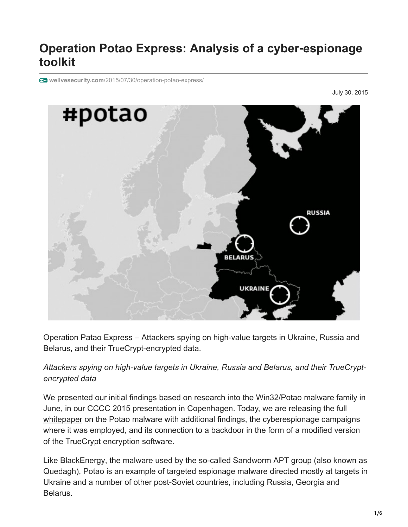# **Operation Potao Express: Analysis of a cyber**‑**espionage toolkit**

**welivesecurity.com**[/2015/07/30/operation-potao-express/](http://www.welivesecurity.com/2015/07/30/operation-potao-express/)

July 30, 2015



Operation Patao Express – Attackers spying on high-value targets in Ukraine, Russia and Belarus, and their TrueCrypt-encrypted data.

### *Attackers spying on high-value targets in Ukraine, Russia and Belarus, and their TrueCryptencrypted data*

We presented our initial findings based on research into the [Win32/Potao](http://virusradar.com/en/Win32_Potao/detail) malware family in [June, in our CCCC 2015 presentation in Copenhagen. Today, we are releasing the full](http://www.welivesecurity.com/wp-content/uploads/2015/07/Operation-Potao-Express_final_v2.pdf) whitepaper on the Potao malware with additional findings, the cyberespionage campaigns where it was employed, and its connection to a backdoor in the form of a modified version of the TrueCrypt encryption software.

Like **BlackEnergy**, the malware used by the so-called Sandworm APT group (also known as Quedagh), Potao is an example of targeted espionage malware directed mostly at targets in Ukraine and a number of other post-Soviet countries, including Russia, Georgia and Belarus.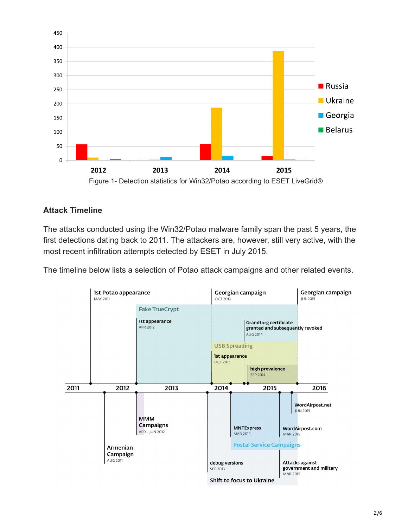

#### **Attack Timeline**

The attacks conducted using the Win32/Potao malware family span the past 5 years, the first detections dating back to 2011. The attackers are, however, still very active, with the most recent infiltration attempts detected by ESET in July 2015.

The timeline below lists a selection of Potao attack campaigns and other related events.

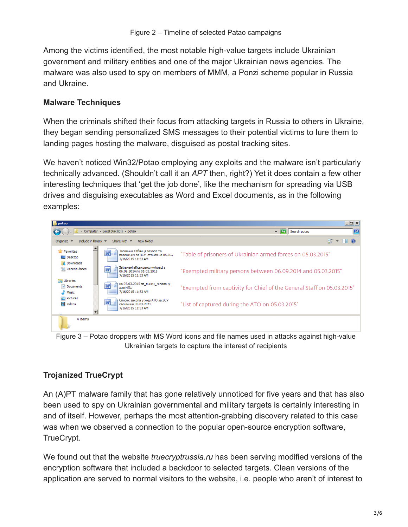Among the victims identified, the most notable high-value targets include Ukrainian government and military entities and one of the major Ukrainian news agencies. The malware was also used to spy on members of [MMM,](https://en.wikipedia.org/wiki/MMM_%28Ponzi_scheme_company%29) a Ponzi scheme popular in Russia and Ukraine.

#### **Malware Techniques**

When the criminals shifted their focus from attacking targets in Russia to others in Ukraine, they began sending personalized SMS messages to their potential victims to lure them to landing pages hosting the malware, disguised as postal tracking sites.

We haven't noticed Win32/Potao employing any exploits and the malware isn't particularly technically advanced. (Shouldn't call it an *APT* then, right?) Yet it does contain a few other interesting techniques that 'get the job done', like the mechanism for spreading via USB drives and disguising executables as Word and Excel documents, as in the following examples:



Figure 3 – Potao droppers with MS Word icons and file names used in attacks against high-value Ukrainian targets to capture the interest of recipients

## **Trojanized TrueCrypt**

An (A)PT malware family that has gone relatively unnoticed for five years and that has also been used to spy on Ukrainian governmental and military targets is certainly interesting in and of itself. However, perhaps the most attention-grabbing discovery related to this case was when we observed a connection to the popular open-source encryption software, TrueCrypt.

We found out that the website *truecryptrussia.ru* has been serving modified versions of the encryption software that included a backdoor to selected targets. Clean versions of the application are served to normal visitors to the website, i.e. people who aren't of interest to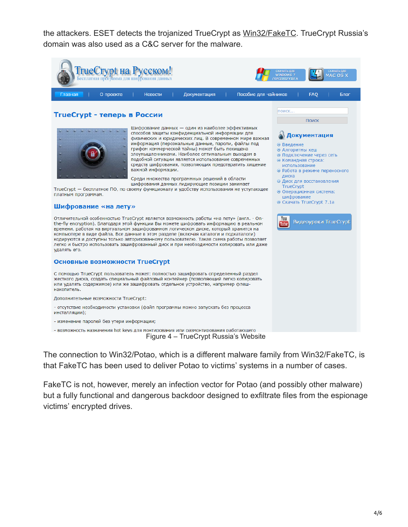the attackers. ESET detects the trojanized TrueCrypt as [Win32/FakeTC.](http://virusradar.com/en/Win32_FakeTC/detail) TrueCrypt Russia's domain was also used as a C&C server for the malware.



The connection to Win32/Potao, which is a different malware family from Win32/FakeTC, is that FakeTC has been used to deliver Potao to victims' systems in a number of cases.

FakeTC is not, however, merely an infection vector for Potao (and possibly other malware) but a fully functional and dangerous backdoor designed to exfiltrate files from the espionage victims' encrypted drives.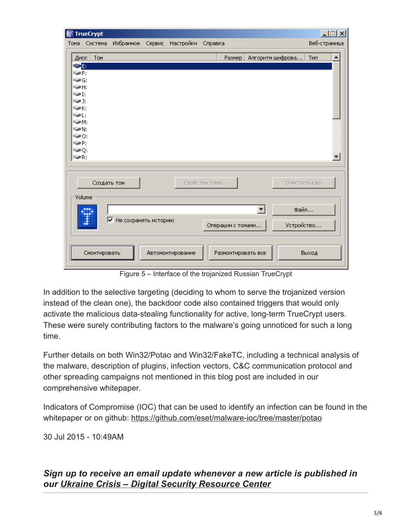| E                      | <b>TrueCrypt</b>     |                        |        |                  |               |                    |                  | $ \Box x$            |
|------------------------|----------------------|------------------------|--------|------------------|---------------|--------------------|------------------|----------------------|
| Тома                   | Система              | Избранное              | Сервис | Настройки        | Справка       |                    |                  | Веб-страница         |
| Диск                   | Tom                  |                        |        |                  |               | Размер             | Алгоритм шифрова | Тип                  |
| <b>BOLE:</b>           |                      |                        |        |                  |               |                    |                  |                      |
| SWF:<br>‱G:            |                      |                        |        |                  |               |                    |                  |                      |
| ©≱Н:                   |                      |                        |        |                  |               |                    |                  |                      |
| $\mathbb{Z}$           |                      |                        |        |                  |               |                    |                  |                      |
| <b>Said</b> 1:<br>€⊯K: |                      |                        |        |                  |               |                    |                  |                      |
| <b>Said</b>            |                      |                        |        |                  |               |                    |                  |                      |
| <b>Said Inc.</b>       |                      |                        |        |                  |               |                    |                  |                      |
| <b>Said II</b><br>©#০: |                      |                        |        |                  |               |                    |                  |                      |
| ‱⊯P:                   |                      |                        |        |                  |               |                    |                  |                      |
| ©≉হ:<br>্⊯R:           |                      |                        |        |                  |               |                    |                  | $\blacktriangledown$ |
|                        |                      |                        |        |                  |               |                    |                  |                      |
|                        |                      |                        |        |                  |               |                    |                  |                      |
|                        | Создать том          |                        |        |                  | Свойства тома |                    |                  | Очистить кэш         |
|                        | Volume               |                        |        |                  |               |                    |                  |                      |
|                        |                      |                        |        |                  |               |                    |                  |                      |
|                        | <br>upp <sup>1</sup> |                        |        |                  |               |                    | ▾╎               | Файл                 |
|                        | H                    | √ Не сохранять историю |        |                  |               | Операции с томами  |                  | Устройство           |
|                        |                      |                        |        |                  |               |                    |                  |                      |
|                        |                      |                        |        |                  |               |                    |                  |                      |
|                        | Смонтировать         |                        |        | Автомонтирование |               | Размонтировать все |                  | Выход                |
|                        |                      |                        |        |                  |               |                    |                  |                      |

Figure 5 – Interface of the trojanized Russian TrueCrypt

In addition to the selective targeting (deciding to whom to serve the trojanized version instead of the clean one), the backdoor code also contained triggers that would only activate the malicious data-stealing functionality for active, long-term TrueCrypt users. These were surely contributing factors to the malware's going unnoticed for such a long time.

Further details on both Win32/Potao and Win32/FakeTC, including a technical analysis of the malware, description of plugins, infection vectors, C&C communication protocol and other spreading campaigns not mentioned in this blog post are included in our comprehensive whitepaper.

Indicators of Compromise (IOC) that can be used to identify an infection can be found in the whitepaper or on github: <https://github.com/eset/malware-ioc/tree/master/potao>

30 Jul 2015 - 10:49AM

*Sign up to receive an email update whenever a new article is published in our [Ukraine Crisis – Digital Security Resource Center](https://www.welivesecurity.com/category/ukraine-crisis-digital-security-resource-center/)*